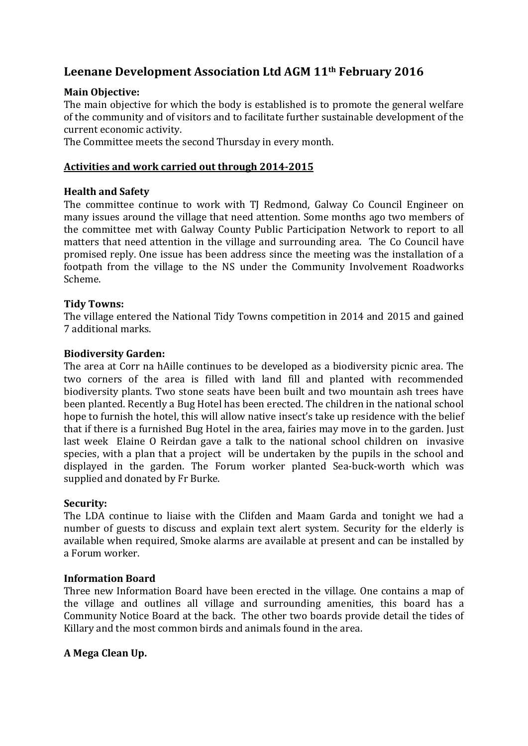# **Leenane Development Association Ltd AGM 11th February 2016**

# **Main Objective:**

The main objective for which the body is established is to promote the general welfare of the community and of visitors and to facilitate further sustainable development of the current economic activity.

The Committee meets the second Thursday in every month.

# **Activities and work carried out through 2014-2015**

# **Health and Safety**

The committee continue to work with TJ Redmond, Galway Co Council Engineer on many issues around the village that need attention. Some months ago two members of the committee met with Galway County Public Participation Network to report to all matters that need attention in the village and surrounding area. The Co Council have promised reply. One issue has been address since the meeting was the installation of a footpath from the village to the NS under the Community Involvement Roadworks Scheme.

# **Tidy Towns:**

The village entered the National Tidy Towns competition in 2014 and 2015 and gained 7 additional marks.

# **Biodiversity Garden:**

The area at Corr na hAille continues to be developed as a biodiversity picnic area. The two corners of the area is filled with land fill and planted with recommended biodiversity plants. Two stone seats have been built and two mountain ash trees have been planted. Recently a Bug Hotel has been erected. The children in the national school hope to furnish the hotel, this will allow native insect's take up residence with the belief that if there is a furnished Bug Hotel in the area, fairies may move in to the garden. Just last week Elaine O Reirdan gave a talk to the national school children on invasive species, with a plan that a project will be undertaken by the pupils in the school and displayed in the garden. The Forum worker planted Sea-buck-worth which was supplied and donated by Fr Burke.

# **Security:**

The LDA continue to liaise with the Clifden and Maam Garda and tonight we had a number of guests to discuss and explain text alert system. Security for the elderly is available when required, Smoke alarms are available at present and can be installed by a Forum worker.

# **Information Board**

Three new Information Board have been erected in the village. One contains a map of the village and outlines all village and surrounding amenities, this board has a Community Notice Board at the back. The other two boards provide detail the tides of Killary and the most common birds and animals found in the area.

# **A Mega Clean Up.**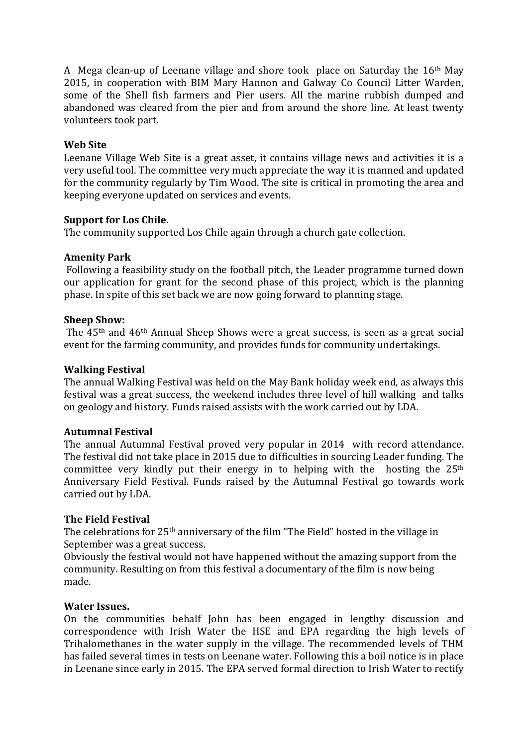A Mega clean-up of Leenane village and shore took place on Saturday the 16th May 2015, in cooperation with BIM Mary Hannon and Galway Co Council Litter Warden, some of the Shell fish farmers and Pier users. All the marine rubbish dumped and abandoned was cleared from the pier and from around the shore line. At least twenty volunteers took part.

## **Web Site**

Leenane Village Web Site is a great asset, it contains village news and activities it is a very useful tool. The committee very much appreciate the way it is manned and updated for the community regularly by Tim Wood. The site is critical in promoting the area and keeping everyone updated on services and events.

# **Support for Los Chile.**

The community supported Los Chile again through a church gate collection.

## **Amenity Park**

Following a feasibility study on the football pitch, the Leader programme turned down our application for grant for the second phase of this project, which is the planning phase. In spite of this set back we are now going forward to planning stage.

## **Sheep Show:**

The 45th and 46th Annual Sheep Shows were a great success, is seen as a great social event for the farming community, and provides funds for community undertakings.

## **Walking Festival**

The annual Walking Festival was held on the May Bank holiday week end, as always this festival was a great success, the weekend includes three level of hill walking and talks on geology and history. Funds raised assists with the work carried out by LDA.

## **Autumnal Festival**

The annual Autumnal Festival proved very popular in 2014 with record attendance. The festival did not take place in 2015 due to difficulties in sourcing Leader funding. The committee very kindly put their energy in to helping with the hosting the 25<sup>th</sup> Anniversary Field Festival. Funds raised by the Autumnal Festival go towards work carried out by LDA.

## **The Field Festival**

The celebrations for 25th anniversary of the film "The Field" hosted in the village in September was a great success.

Obviously the festival would not have happened without the amazing support from the community. Resulting on from this festival a documentary of the film is now being made.

## **Water Issues.**

On the communities behalf John has been engaged in lengthy discussion and correspondence with Irish Water the HSE and EPA regarding the high levels of Trihalomethanes in the water supply in the village. The recommended levels of THM has failed several times in tests on Leenane water. Following this a boil notice is in place in Leenane since early in 2015. The EPA served formal direction to Irish Water to rectify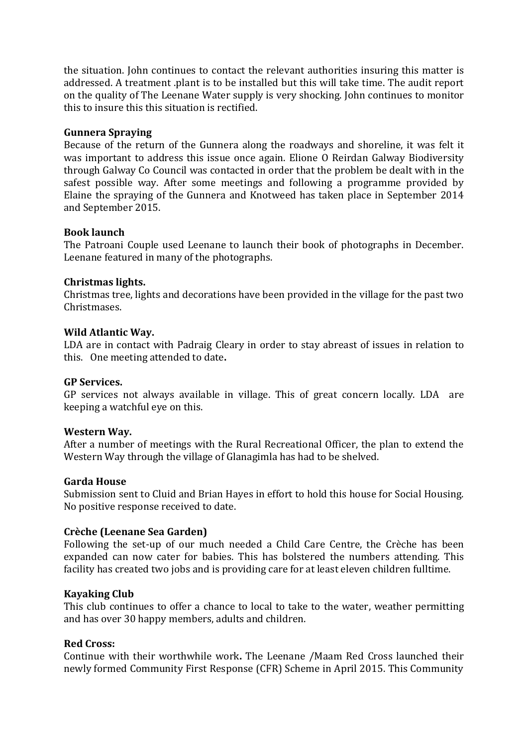the situation. John continues to contact the relevant authorities insuring this matter is addressed. A treatment .plant is to be installed but this will take time. The audit report on the quality of The Leenane Water supply is very shocking. John continues to monitor this to insure this this situation is rectified.

## **Gunnera Spraying**

Because of the return of the Gunnera along the roadways and shoreline, it was felt it was important to address this issue once again. Elione O Reirdan Galway Biodiversity through Galway Co Council was contacted in order that the problem be dealt with in the safest possible way. After some meetings and following a programme provided by Elaine the spraying of the Gunnera and Knotweed has taken place in September 2014 and September 2015.

## **Book launch**

The Patroani Couple used Leenane to launch their book of photographs in December. Leenane featured in many of the photographs.

## **Christmas lights.**

Christmas tree, lights and decorations have been provided in the village for the past two Christmases.

## **Wild Atlantic Way.**

LDA are in contact with Padraig Cleary in order to stay abreast of issues in relation to this. One meeting attended to date**.** 

## **GP Services.**

GP services not always available in village. This of great concern locally. LDA are keeping a watchful eye on this.

## **Western Way.**

After a number of meetings with the Rural Recreational Officer, the plan to extend the Western Way through the village of Glanagimla has had to be shelved.

## **Garda House**

Submission sent to Cluid and Brian Hayes in effort to hold this house for Social Housing. No positive response received to date.

## **Crèche (Leenane Sea Garden)**

Following the set-up of our much needed a Child Care Centre, the Crèche has been expanded can now cater for babies. This has bolstered the numbers attending. This facility has created two jobs and is providing care for at least eleven children fulltime.

## **Kayaking Club**

This club continues to offer a chance to local to take to the water, weather permitting and has over 30 happy members, adults and children.

## **Red Cross:**

Continue with their worthwhile work**.** The Leenane /Maam Red Cross launched their newly formed Community First Response (CFR) Scheme in April 2015. This Community